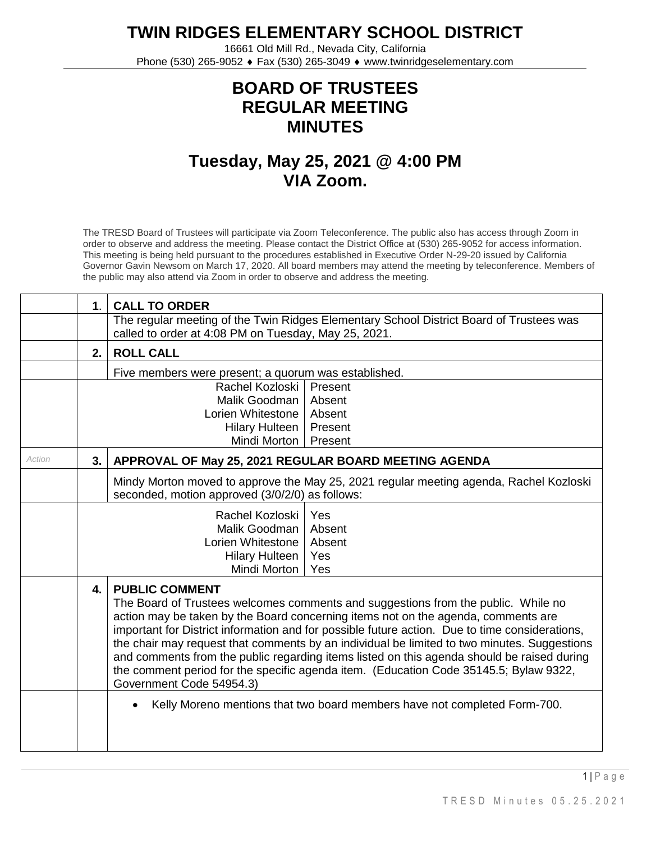**TWIN RIDGES ELEMENTARY SCHOOL DISTRICT**

16661 Old Mill Rd., Nevada City, California Phone (530) 265-9052 ♦ Fax (530) 265-3049 ♦ www.twinridgeselementary.com

## **BOARD OF TRUSTEES REGULAR MEETING MINUTES**

## **Tuesday, May 25, 2021 @ 4:00 PM VIA Zoom.**

The TRESD Board of Trustees will participate via Zoom Teleconference. The public also has access through Zoom in order to observe and address the meeting. Please contact the District Office at (530) 265-9052 for access information. This meeting is being held pursuant to the procedures established in Executive Order N-29-20 issued by California Governor Gavin Newsom on March 17, 2020. All board members may attend the meeting by teleconference. Members of the public may also attend via Zoom in order to observe and address the meeting.

|        | $\mathbf{1}$ .                                                                    | <b>CALL TO ORDER</b>                                                                                                                            |                                                                                        |  |
|--------|-----------------------------------------------------------------------------------|-------------------------------------------------------------------------------------------------------------------------------------------------|----------------------------------------------------------------------------------------|--|
|        |                                                                                   | The regular meeting of the Twin Ridges Elementary School District Board of Trustees was<br>called to order at 4:08 PM on Tuesday, May 25, 2021. |                                                                                        |  |
|        | 2.                                                                                | <b>ROLL CALL</b>                                                                                                                                |                                                                                        |  |
|        |                                                                                   | Five members were present; a quorum was established.                                                                                            |                                                                                        |  |
|        |                                                                                   | Rachel Kozloski                                                                                                                                 | Present                                                                                |  |
|        | Malik Goodman                                                                     |                                                                                                                                                 | Absent                                                                                 |  |
|        |                                                                                   | Lorien Whitestone                                                                                                                               | Absent                                                                                 |  |
|        | Hilary Hulteen                                                                    |                                                                                                                                                 | Present                                                                                |  |
|        |                                                                                   | Mindi Morton   Present                                                                                                                          |                                                                                        |  |
| Action | 3.                                                                                | APPROVAL OF May 25, 2021 REGULAR BOARD MEETING AGENDA                                                                                           |                                                                                        |  |
|        |                                                                                   |                                                                                                                                                 | Mindy Morton moved to approve the May 25, 2021 regular meeting agenda, Rachel Kozloski |  |
|        | seconded, motion approved (3/0/2/0) as follows:                                   |                                                                                                                                                 |                                                                                        |  |
|        | Rachel Kozloski<br>Yes                                                            |                                                                                                                                                 |                                                                                        |  |
|        | Malik Goodman<br>Lorien Whitestone                                                |                                                                                                                                                 | Absent                                                                                 |  |
|        |                                                                                   |                                                                                                                                                 | Absent                                                                                 |  |
|        | <b>Hilary Hulteen</b>                                                             |                                                                                                                                                 | Yes                                                                                    |  |
|        |                                                                                   | Mindi Morton                                                                                                                                    | Yes                                                                                    |  |
|        | <b>PUBLIC COMMENT</b><br>4.                                                       |                                                                                                                                                 |                                                                                        |  |
|        |                                                                                   |                                                                                                                                                 | The Board of Trustees welcomes comments and suggestions from the public. While no      |  |
|        | action may be taken by the Board concerning items not on the agenda, comments are |                                                                                                                                                 |                                                                                        |  |
|        |                                                                                   | important for District information and for possible future action. Due to time considerations,                                                  |                                                                                        |  |
|        |                                                                                   | the chair may request that comments by an individual be limited to two minutes. Suggestions                                                     |                                                                                        |  |
|        |                                                                                   | and comments from the public regarding items listed on this agenda should be raised during                                                      |                                                                                        |  |
|        |                                                                                   | the comment period for the specific agenda item. (Education Code 35145.5; Bylaw 9322,                                                           |                                                                                        |  |
|        |                                                                                   | Government Code 54954.3)                                                                                                                        |                                                                                        |  |
|        |                                                                                   | Kelly Moreno mentions that two board members have not completed Form-700.                                                                       |                                                                                        |  |
|        |                                                                                   |                                                                                                                                                 |                                                                                        |  |
|        |                                                                                   |                                                                                                                                                 |                                                                                        |  |
|        |                                                                                   |                                                                                                                                                 |                                                                                        |  |

 $1 \mid P$  a g e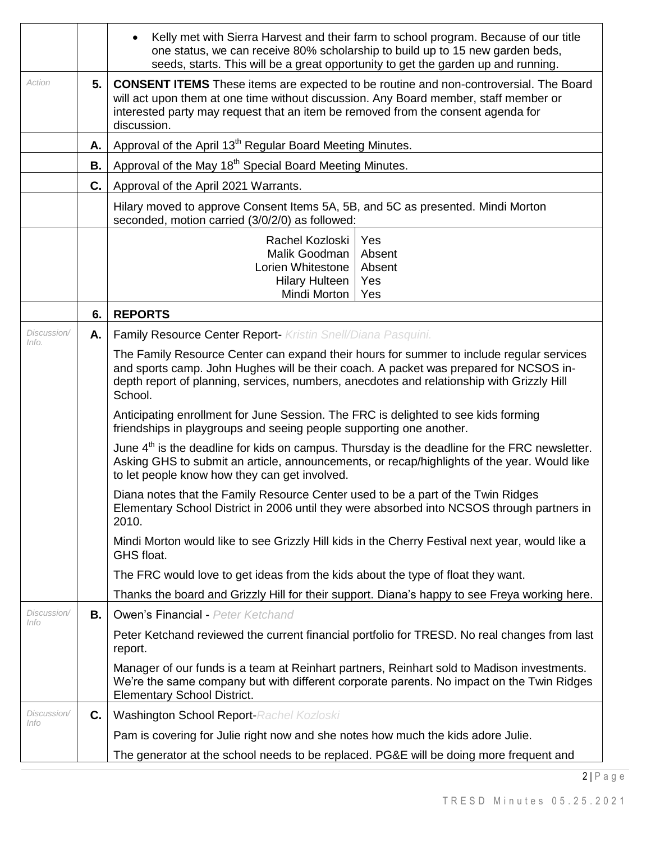|                      |    | Kelly met with Sierra Harvest and their farm to school program. Because of our title<br>one status, we can receive 80% scholarship to build up to 15 new garden beds,<br>seeds, starts. This will be a great opportunity to get the garden up and running.                                |  |  |  |
|----------------------|----|-------------------------------------------------------------------------------------------------------------------------------------------------------------------------------------------------------------------------------------------------------------------------------------------|--|--|--|
| Action               | 5. | <b>CONSENT ITEMS</b> These items are expected to be routine and non-controversial. The Board<br>will act upon them at one time without discussion. Any Board member, staff member or<br>interested party may request that an item be removed from the consent agenda for<br>discussion.   |  |  |  |
|                      | А. | Approval of the April 13 <sup>th</sup> Regular Board Meeting Minutes.                                                                                                                                                                                                                     |  |  |  |
|                      | В. | Approval of the May 18 <sup>th</sup> Special Board Meeting Minutes.                                                                                                                                                                                                                       |  |  |  |
|                      | C. | Approval of the April 2021 Warrants.                                                                                                                                                                                                                                                      |  |  |  |
|                      |    | Hilary moved to approve Consent Items 5A, 5B, and 5C as presented. Mindi Morton<br>seconded, motion carried (3/0/2/0) as followed:                                                                                                                                                        |  |  |  |
|                      |    | Rachel Kozloski<br>Yes<br>Malik Goodman<br>Absent<br>Lorien Whitestone<br>Absent<br><b>Hilary Hulteen</b><br>Yes<br>Mindi Morton<br>Yes                                                                                                                                                   |  |  |  |
|                      | 6. | <b>REPORTS</b>                                                                                                                                                                                                                                                                            |  |  |  |
| Discussion/<br>Info. | А. | Family Resource Center Report- Kristin Snell/Diana Pasquini.                                                                                                                                                                                                                              |  |  |  |
|                      |    | The Family Resource Center can expand their hours for summer to include regular services<br>and sports camp. John Hughes will be their coach. A packet was prepared for NCSOS in-<br>depth report of planning, services, numbers, anecdotes and relationship with Grizzly Hill<br>School. |  |  |  |
|                      |    | Anticipating enrollment for June Session. The FRC is delighted to see kids forming<br>friendships in playgroups and seeing people supporting one another.                                                                                                                                 |  |  |  |
|                      |    | June $4th$ is the deadline for kids on campus. Thursday is the deadline for the FRC newsletter.<br>Asking GHS to submit an article, announcements, or recap/highlights of the year. Would like<br>to let people know how they can get involved.                                           |  |  |  |
|                      |    | Diana notes that the Family Resource Center used to be a part of the Twin Ridges<br>Elementary School District in 2006 until they were absorbed into NCSOS through partners in<br>2010.                                                                                                   |  |  |  |
|                      |    | Mindi Morton would like to see Grizzly Hill kids in the Cherry Festival next year, would like a<br>GHS float.                                                                                                                                                                             |  |  |  |
|                      |    | The FRC would love to get ideas from the kids about the type of float they want.                                                                                                                                                                                                          |  |  |  |
|                      |    | Thanks the board and Grizzly Hill for their support. Diana's happy to see Freya working here.                                                                                                                                                                                             |  |  |  |
| Discussion/<br>Info  | В. | <b>Owen's Financial - Peter Ketchand</b>                                                                                                                                                                                                                                                  |  |  |  |
|                      |    | Peter Ketchand reviewed the current financial portfolio for TRESD. No real changes from last<br>report.                                                                                                                                                                                   |  |  |  |
|                      |    | Manager of our funds is a team at Reinhart partners, Reinhart sold to Madison investments.<br>We're the same company but with different corporate parents. No impact on the Twin Ridges<br><b>Elementary School District.</b>                                                             |  |  |  |
| Discussion/<br>Info  | C. | <b>Washington School Report-Rachel Kozloski</b>                                                                                                                                                                                                                                           |  |  |  |
|                      |    | Pam is covering for Julie right now and she notes how much the kids adore Julie.                                                                                                                                                                                                          |  |  |  |
|                      |    | The generator at the school needs to be replaced. PG&E will be doing more frequent and                                                                                                                                                                                                    |  |  |  |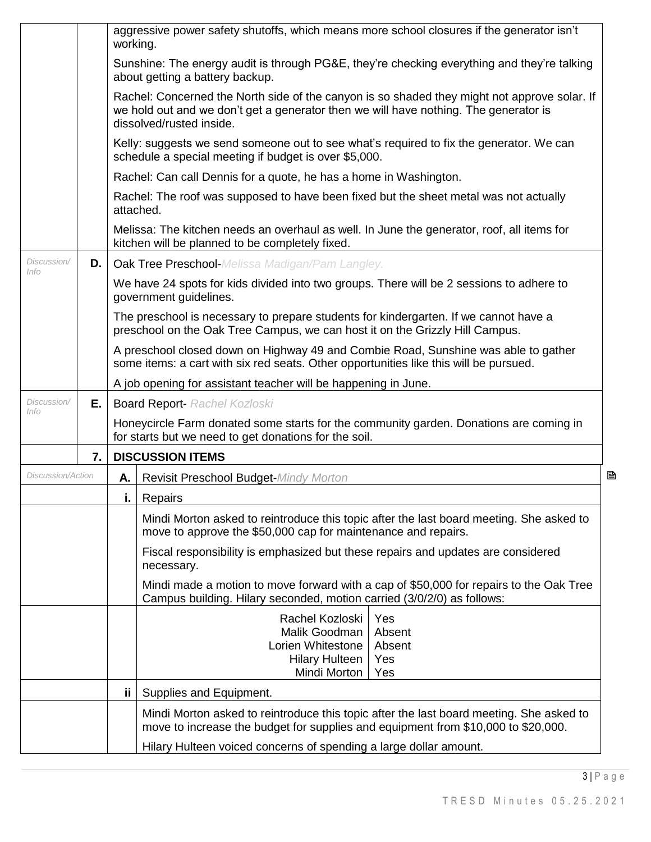|                            |    | working.                                                                                                                                                                                                         | aggressive power safety shutoffs, which means more school closures if the generator isn't                                                                                    |  |  |
|----------------------------|----|------------------------------------------------------------------------------------------------------------------------------------------------------------------------------------------------------------------|------------------------------------------------------------------------------------------------------------------------------------------------------------------------------|--|--|
|                            |    |                                                                                                                                                                                                                  | Sunshine: The energy audit is through PG&E, they're checking everything and they're talking<br>about getting a battery backup.                                               |  |  |
|                            |    | Rachel: Concerned the North side of the canyon is so shaded they might not approve solar. If<br>we hold out and we don't get a generator then we will have nothing. The generator is<br>dissolved/rusted inside. |                                                                                                                                                                              |  |  |
|                            |    |                                                                                                                                                                                                                  | Kelly: suggests we send someone out to see what's required to fix the generator. We can<br>schedule a special meeting if budget is over \$5,000.                             |  |  |
|                            |    |                                                                                                                                                                                                                  | Rachel: Can call Dennis for a quote, he has a home in Washington.                                                                                                            |  |  |
|                            |    |                                                                                                                                                                                                                  | Rachel: The roof was supposed to have been fixed but the sheet metal was not actually<br>attached.                                                                           |  |  |
|                            |    |                                                                                                                                                                                                                  | Melissa: The kitchen needs an overhaul as well. In June the generator, roof, all items for<br>kitchen will be planned to be completely fixed.                                |  |  |
| Discussion/<br>Info        | D. |                                                                                                                                                                                                                  | <b>Oak Tree Preschool-</b> Melissa Madigan/Pam Langley.                                                                                                                      |  |  |
|                            |    |                                                                                                                                                                                                                  | We have 24 spots for kids divided into two groups. There will be 2 sessions to adhere to<br>government guidelines.                                                           |  |  |
|                            |    |                                                                                                                                                                                                                  | The preschool is necessary to prepare students for kindergarten. If we cannot have a<br>preschool on the Oak Tree Campus, we can host it on the Grizzly Hill Campus.         |  |  |
|                            |    |                                                                                                                                                                                                                  | A preschool closed down on Highway 49 and Combie Road, Sunshine was able to gather<br>some items: a cart with six red seats. Other opportunities like this will be pursued.  |  |  |
|                            |    |                                                                                                                                                                                                                  | A job opening for assistant teacher will be happening in June.                                                                                                               |  |  |
| Discussion/<br><i>Info</i> | Е. |                                                                                                                                                                                                                  | <b>Board Report- Rachel Kozloski</b>                                                                                                                                         |  |  |
|                            |    |                                                                                                                                                                                                                  | Honeycircle Farm donated some starts for the community garden. Donations are coming in<br>for starts but we need to get donations for the soil.                              |  |  |
|                            | 7. |                                                                                                                                                                                                                  | <b>DISCUSSION ITEMS</b>                                                                                                                                                      |  |  |
| Discussion/Action<br>Α.    |    | Revisit Preschool Budget-Mindy Morton                                                                                                                                                                            | B                                                                                                                                                                            |  |  |
|                            |    | i.                                                                                                                                                                                                               | Repairs                                                                                                                                                                      |  |  |
|                            |    |                                                                                                                                                                                                                  | Mindi Morton asked to reintroduce this topic after the last board meeting. She asked to<br>move to approve the \$50,000 cap for maintenance and repairs.                     |  |  |
|                            |    |                                                                                                                                                                                                                  | Fiscal responsibility is emphasized but these repairs and updates are considered<br>necessary.                                                                               |  |  |
|                            |    |                                                                                                                                                                                                                  | Mindi made a motion to move forward with a cap of \$50,000 for repairs to the Oak Tree<br>Campus building. Hilary seconded, motion carried (3/0/2/0) as follows:             |  |  |
|                            |    |                                                                                                                                                                                                                  | Rachel Kozloski<br>Yes                                                                                                                                                       |  |  |
|                            |    |                                                                                                                                                                                                                  | Malik Goodman<br>Absent<br>Lorien Whitestone<br>Absent                                                                                                                       |  |  |
|                            |    |                                                                                                                                                                                                                  | <b>Hilary Hulteen</b><br>Yes                                                                                                                                                 |  |  |
|                            |    |                                                                                                                                                                                                                  | Mindi Morton<br>Yes                                                                                                                                                          |  |  |
|                            |    | ii.                                                                                                                                                                                                              | Supplies and Equipment.                                                                                                                                                      |  |  |
|                            |    |                                                                                                                                                                                                                  | Mindi Morton asked to reintroduce this topic after the last board meeting. She asked to<br>move to increase the budget for supplies and equipment from \$10,000 to \$20,000. |  |  |
|                            |    |                                                                                                                                                                                                                  | Hilary Hulteen voiced concerns of spending a large dollar amount.                                                                                                            |  |  |

 $3 | P a g e$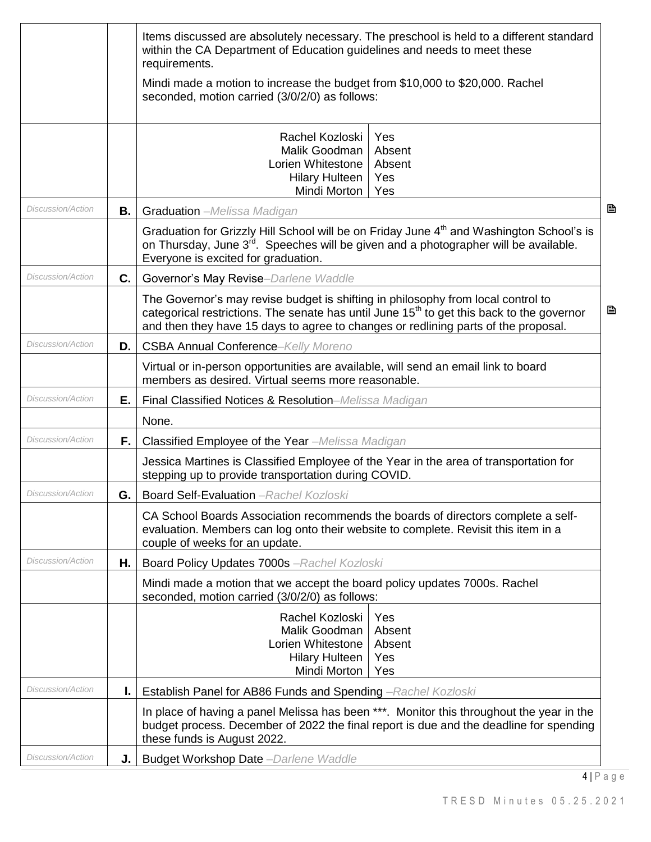|                          |      | Items discussed are absolutely necessary. The preschool is held to a different standard<br>within the CA Department of Education guidelines and needs to meet these<br>requirements.                                                                                                 |                                       |
|--------------------------|------|--------------------------------------------------------------------------------------------------------------------------------------------------------------------------------------------------------------------------------------------------------------------------------------|---------------------------------------|
|                          |      | Mindi made a motion to increase the budget from \$10,000 to \$20,000. Rachel<br>seconded, motion carried (3/0/2/0) as follows:                                                                                                                                                       |                                       |
|                          |      | Rachel Kozloski<br>Malik Goodman<br>Lorien Whitestone<br><b>Hilary Hulteen</b><br>Mindi Morton                                                                                                                                                                                       | Yes<br>Absent<br>Absent<br>Yes<br>Yes |
| Discussion/Action        | В.   | B<br><b>Graduation</b> - Melissa Madigan                                                                                                                                                                                                                                             |                                       |
|                          |      | Graduation for Grizzly Hill School will be on Friday June 4 <sup>th</sup> and Washington School's is<br>on Thursday, June 3 <sup>rd</sup> . Speeches will be given and a photographer will be available.<br>Everyone is excited for graduation.                                      |                                       |
| <b>Discussion/Action</b> | C.   | Governor's May Revise-Darlene Waddle                                                                                                                                                                                                                                                 |                                       |
|                          |      | The Governor's may revise budget is shifting in philosophy from local control to<br>B<br>categorical restrictions. The senate has until June 15 <sup>th</sup> to get this back to the governor<br>and then they have 15 days to agree to changes or redlining parts of the proposal. |                                       |
| Discussion/Action        | D.   | <b>CSBA Annual Conference-Kelly Moreno</b>                                                                                                                                                                                                                                           |                                       |
|                          |      | Virtual or in-person opportunities are available, will send an email link to board<br>members as desired. Virtual seems more reasonable.                                                                                                                                             |                                       |
| <b>Discussion/Action</b> | Ε.   | Final Classified Notices & Resolution-Melissa Madigan                                                                                                                                                                                                                                |                                       |
|                          |      | None.                                                                                                                                                                                                                                                                                |                                       |
| Discussion/Action        | F.   | Classified Employee of the Year -Melissa Madigan                                                                                                                                                                                                                                     |                                       |
|                          |      | Jessica Martines is Classified Employee of the Year in the area of transportation for<br>stepping up to provide transportation during COVID.                                                                                                                                         |                                       |
| Discussion/Action        | G. I | <b>Board Self-Evaluation</b> - Rachel Kozloski                                                                                                                                                                                                                                       |                                       |
|                          |      | CA School Boards Association recommends the boards of directors complete a self-<br>evaluation. Members can log onto their website to complete. Revisit this item in a<br>couple of weeks for an update.                                                                             |                                       |
| Discussion/Action        | Η.   | Board Policy Updates 7000s - Rachel Kozloski                                                                                                                                                                                                                                         |                                       |
|                          |      | Mindi made a motion that we accept the board policy updates 7000s. Rachel<br>seconded, motion carried (3/0/2/0) as follows:                                                                                                                                                          |                                       |
|                          |      | Rachel Kozloski<br>Malik Goodman<br>Lorien Whitestone<br><b>Hilary Hulteen</b><br>Mindi Morton                                                                                                                                                                                       | Yes<br>Absent<br>Absent<br>Yes<br>Yes |
| Discussion/Action        |      | Establish Panel for AB86 Funds and Spending - Rachel Kozloski                                                                                                                                                                                                                        |                                       |
|                          |      | In place of having a panel Melissa has been ***. Monitor this throughout the year in the<br>budget process. December of 2022 the final report is due and the deadline for spending<br>these funds is August 2022.                                                                    |                                       |
| Discussion/Action        |      | J.   Budget Workshop Date - Darlene Waddle                                                                                                                                                                                                                                           |                                       |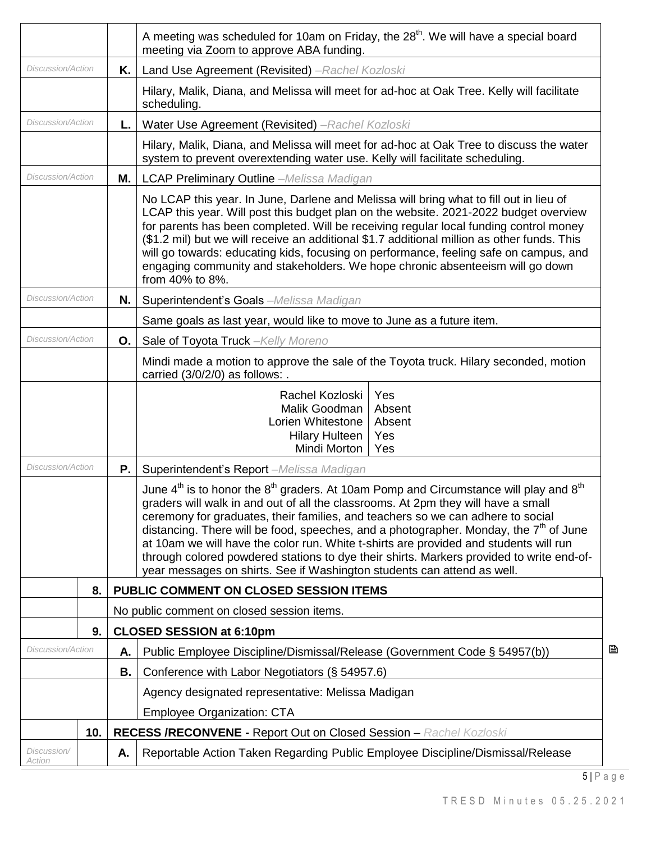|                                                                              |     |                                                                                                                                                                                                                                                                                                                                                                                                                                                                                                                                                                     | A meeting was scheduled for 10am on Friday, the 28 <sup>th</sup> . We will have a special board<br>meeting via Zoom to approve ABA funding.                                                                                                                                                                                                                                                                                                                                                                                                                                                                                    |  |  |
|------------------------------------------------------------------------------|-----|---------------------------------------------------------------------------------------------------------------------------------------------------------------------------------------------------------------------------------------------------------------------------------------------------------------------------------------------------------------------------------------------------------------------------------------------------------------------------------------------------------------------------------------------------------------------|--------------------------------------------------------------------------------------------------------------------------------------------------------------------------------------------------------------------------------------------------------------------------------------------------------------------------------------------------------------------------------------------------------------------------------------------------------------------------------------------------------------------------------------------------------------------------------------------------------------------------------|--|--|
| Discussion/Action<br>Κ.                                                      |     |                                                                                                                                                                                                                                                                                                                                                                                                                                                                                                                                                                     | Land Use Agreement (Revisited) -Rachel Kozloski                                                                                                                                                                                                                                                                                                                                                                                                                                                                                                                                                                                |  |  |
|                                                                              |     |                                                                                                                                                                                                                                                                                                                                                                                                                                                                                                                                                                     | Hilary, Malik, Diana, and Melissa will meet for ad-hoc at Oak Tree. Kelly will facilitate<br>scheduling.                                                                                                                                                                                                                                                                                                                                                                                                                                                                                                                       |  |  |
| Discussion/Action                                                            |     | L.                                                                                                                                                                                                                                                                                                                                                                                                                                                                                                                                                                  | Water Use Agreement (Revisited) - Rachel Kozloski                                                                                                                                                                                                                                                                                                                                                                                                                                                                                                                                                                              |  |  |
| system to prevent overextending water use. Kelly will facilitate scheduling. |     |                                                                                                                                                                                                                                                                                                                                                                                                                                                                                                                                                                     | Hilary, Malik, Diana, and Melissa will meet for ad-hoc at Oak Tree to discuss the water                                                                                                                                                                                                                                                                                                                                                                                                                                                                                                                                        |  |  |
| Discussion/Action<br>М.<br><b>LCAP Preliminary Outline</b> -Melissa Madigan  |     |                                                                                                                                                                                                                                                                                                                                                                                                                                                                                                                                                                     |                                                                                                                                                                                                                                                                                                                                                                                                                                                                                                                                                                                                                                |  |  |
|                                                                              |     | No LCAP this year. In June, Darlene and Melissa will bring what to fill out in lieu of<br>LCAP this year. Will post this budget plan on the website. 2021-2022 budget overview<br>for parents has been completed. Will be receiving regular local funding control money<br>(\$1.2 mil) but we will receive an additional \$1.7 additional million as other funds. This<br>will go towards: educating kids, focusing on performance, feeling safe on campus, and<br>engaging community and stakeholders. We hope chronic absenteeism will go down<br>from 40% to 8%. |                                                                                                                                                                                                                                                                                                                                                                                                                                                                                                                                                                                                                                |  |  |
| Discussion/Action                                                            |     | N.                                                                                                                                                                                                                                                                                                                                                                                                                                                                                                                                                                  | Superintendent's Goals -Melissa Madigan                                                                                                                                                                                                                                                                                                                                                                                                                                                                                                                                                                                        |  |  |
| Same goals as last year, would like to move to June as a future item.        |     |                                                                                                                                                                                                                                                                                                                                                                                                                                                                                                                                                                     |                                                                                                                                                                                                                                                                                                                                                                                                                                                                                                                                                                                                                                |  |  |
| Discussion/Action                                                            |     | О.                                                                                                                                                                                                                                                                                                                                                                                                                                                                                                                                                                  | Sale of Toyota Truck - Kelly Moreno                                                                                                                                                                                                                                                                                                                                                                                                                                                                                                                                                                                            |  |  |
|                                                                              |     |                                                                                                                                                                                                                                                                                                                                                                                                                                                                                                                                                                     | Mindi made a motion to approve the sale of the Toyota truck. Hilary seconded, motion<br>carried (3/0/2/0) as follows: .                                                                                                                                                                                                                                                                                                                                                                                                                                                                                                        |  |  |
|                                                                              |     |                                                                                                                                                                                                                                                                                                                                                                                                                                                                                                                                                                     | Rachel Kozloski<br>Yes<br>Malik Goodman<br>Absent<br>Lorien Whitestone<br>Absent<br><b>Hilary Hulteen</b><br>Yes<br>Mindi Morton<br>Yes                                                                                                                                                                                                                                                                                                                                                                                                                                                                                        |  |  |
| Discussion/Action                                                            |     | Ρ.                                                                                                                                                                                                                                                                                                                                                                                                                                                                                                                                                                  | Superintendent's Report -Melissa Madigan                                                                                                                                                                                                                                                                                                                                                                                                                                                                                                                                                                                       |  |  |
|                                                                              |     |                                                                                                                                                                                                                                                                                                                                                                                                                                                                                                                                                                     | June $4th$ is to honor the $8th$ graders. At 10am Pomp and Circumstance will play and $8th$<br>graders will walk in and out of all the classrooms. At 2pm they will have a small<br>ceremony for graduates, their families, and teachers so we can adhere to social<br>distancing. There will be food, speeches, and a photographer. Monday, the $7th$ of June<br>at 10am we will have the color run. White t-shirts are provided and students will run<br>through colored powdered stations to dye their shirts. Markers provided to write end-of-<br>year messages on shirts. See if Washington students can attend as well. |  |  |
|                                                                              | 8.  |                                                                                                                                                                                                                                                                                                                                                                                                                                                                                                                                                                     | PUBLIC COMMENT ON CLOSED SESSION ITEMS                                                                                                                                                                                                                                                                                                                                                                                                                                                                                                                                                                                         |  |  |
|                                                                              |     |                                                                                                                                                                                                                                                                                                                                                                                                                                                                                                                                                                     | No public comment on closed session items.                                                                                                                                                                                                                                                                                                                                                                                                                                                                                                                                                                                     |  |  |
| <b>CLOSED SESSION at 6:10pm</b><br>9.                                        |     |                                                                                                                                                                                                                                                                                                                                                                                                                                                                                                                                                                     |                                                                                                                                                                                                                                                                                                                                                                                                                                                                                                                                                                                                                                |  |  |
| Discussion/Action                                                            |     | А.                                                                                                                                                                                                                                                                                                                                                                                                                                                                                                                                                                  | B<br>Public Employee Discipline/Dismissal/Release (Government Code § 54957(b))                                                                                                                                                                                                                                                                                                                                                                                                                                                                                                                                                 |  |  |
|                                                                              |     | В.                                                                                                                                                                                                                                                                                                                                                                                                                                                                                                                                                                  | Conference with Labor Negotiators (§ 54957.6)                                                                                                                                                                                                                                                                                                                                                                                                                                                                                                                                                                                  |  |  |
|                                                                              |     |                                                                                                                                                                                                                                                                                                                                                                                                                                                                                                                                                                     | Agency designated representative: Melissa Madigan                                                                                                                                                                                                                                                                                                                                                                                                                                                                                                                                                                              |  |  |
|                                                                              |     |                                                                                                                                                                                                                                                                                                                                                                                                                                                                                                                                                                     | <b>Employee Organization: CTA</b>                                                                                                                                                                                                                                                                                                                                                                                                                                                                                                                                                                                              |  |  |
|                                                                              | 10. |                                                                                                                                                                                                                                                                                                                                                                                                                                                                                                                                                                     | <b>RECESS /RECONVENE - Report Out on Closed Session - Rachel Kozloski</b>                                                                                                                                                                                                                                                                                                                                                                                                                                                                                                                                                      |  |  |
| Discussion/<br>Action                                                        |     | Α.                                                                                                                                                                                                                                                                                                                                                                                                                                                                                                                                                                  | Reportable Action Taken Regarding Public Employee Discipline/Dismissal/Release                                                                                                                                                                                                                                                                                                                                                                                                                                                                                                                                                 |  |  |